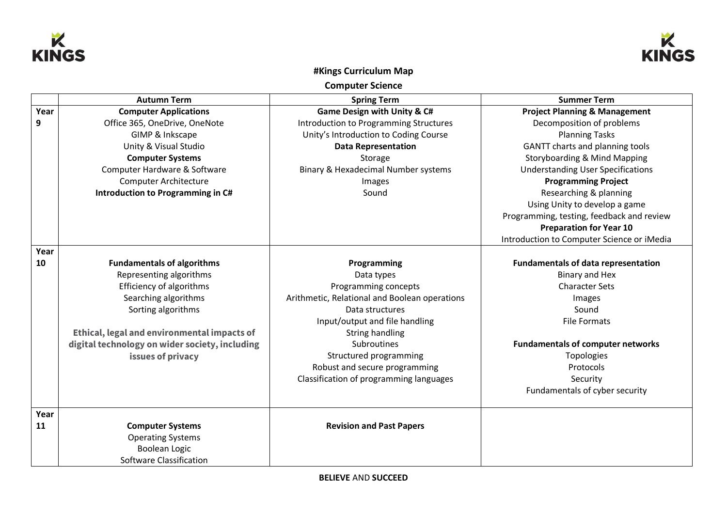



## **#Kings Curriculum Map**

**Computer Science**

|      | <b>Autumn Term</b>                             | <b>Spring Term</b>                            | <b>Summer Term</b>                         |
|------|------------------------------------------------|-----------------------------------------------|--------------------------------------------|
| Year | <b>Computer Applications</b>                   | <b>Game Design with Unity &amp; C#</b>        | <b>Project Planning &amp; Management</b>   |
| 9    | Office 365, OneDrive, OneNote                  | <b>Introduction to Programming Structures</b> | Decomposition of problems                  |
|      | GIMP & Inkscape                                | Unity's Introduction to Coding Course         | <b>Planning Tasks</b>                      |
|      | Unity & Visual Studio                          | <b>Data Representation</b>                    | GANTT charts and planning tools            |
|      | <b>Computer Systems</b>                        | Storage                                       | <b>Storyboarding &amp; Mind Mapping</b>    |
|      | Computer Hardware & Software                   | Binary & Hexadecimal Number systems           | <b>Understanding User Specifications</b>   |
|      | <b>Computer Architecture</b>                   | Images                                        | <b>Programming Project</b>                 |
|      | Introduction to Programming in C#              | Sound                                         | Researching & planning                     |
|      |                                                |                                               | Using Unity to develop a game              |
|      |                                                |                                               | Programming, testing, feedback and review  |
|      |                                                |                                               | <b>Preparation for Year 10</b>             |
|      |                                                |                                               | Introduction to Computer Science or iMedia |
| Year |                                                |                                               |                                            |
| 10   | <b>Fundamentals of algorithms</b>              | Programming                                   | <b>Fundamentals of data representation</b> |
|      | Representing algorithms                        | Data types                                    | Binary and Hex                             |
|      | Efficiency of algorithms                       | Programming concepts                          | <b>Character Sets</b>                      |
|      | Searching algorithms                           | Arithmetic, Relational and Boolean operations | Images                                     |
|      | Sorting algorithms                             | Data structures                               | Sound                                      |
|      |                                                | Input/output and file handling                | <b>File Formats</b>                        |
|      | Ethical, legal and environmental impacts of    | String handling                               |                                            |
|      | digital technology on wider society, including | Subroutines                                   | <b>Fundamentals of computer networks</b>   |
|      | issues of privacy                              | Structured programming                        | <b>Topologies</b>                          |
|      |                                                | Robust and secure programming                 | Protocols                                  |
|      |                                                | Classification of programming languages       | Security                                   |
|      |                                                |                                               | Fundamentals of cyber security             |
| Year |                                                |                                               |                                            |
| 11   | <b>Computer Systems</b>                        | <b>Revision and Past Papers</b>               |                                            |
|      | <b>Operating Systems</b>                       |                                               |                                            |
|      | <b>Boolean Logic</b>                           |                                               |                                            |
|      | Software Classification                        |                                               |                                            |